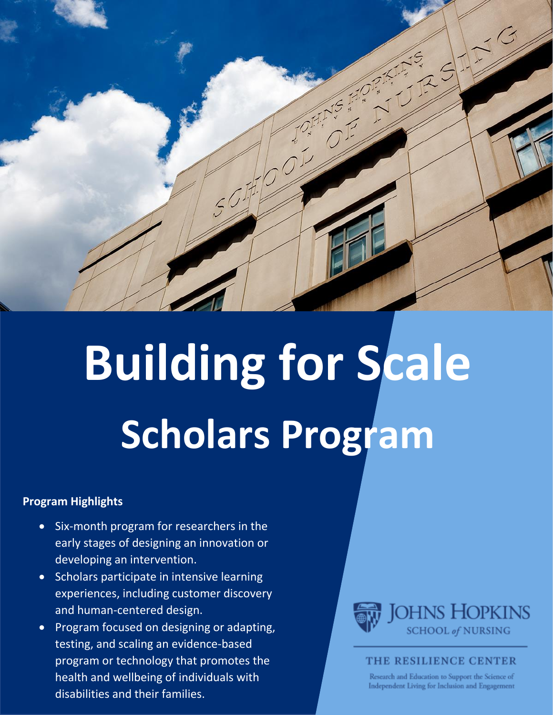

# **Building for Scale Scholars Program**

#### **Program Highlights**

- Six-month program for researchers in the early stages of designing an innovation or developing an intervention.
- Scholars participate in intensive learning experiences, including customer discovery and human-centered design.
- Program focused on designing or adapting, testing, and scaling an evidence-based program or technology that promotes the health and wellbeing of individuals with disabilities and their families.



#### THE RESILIENCE CENTER

Research and Education to Support the Science of Independent Living for Inclusion and Engagement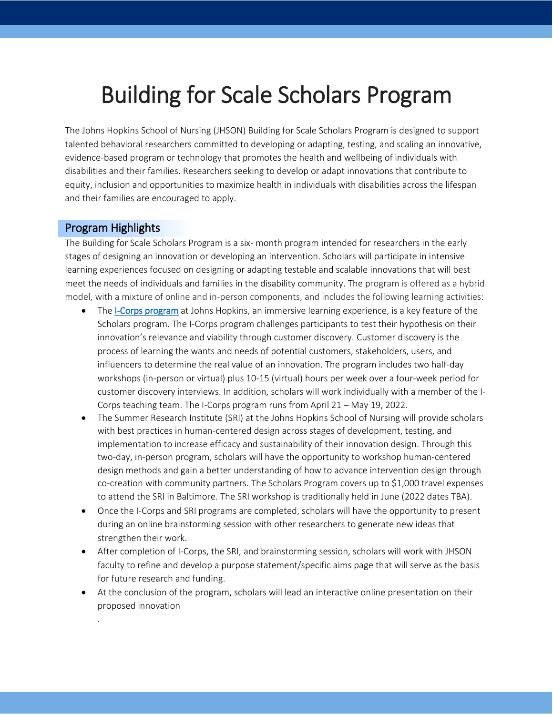# Building for Scale Scholars Program

The Johns Hopkins School of Nursing (JHSON) Building for Scale Scholars Program is designed to support talented behavioral researchers committed to developing or adapting, testing, and scaling an innovative, evidence-based program or technology that promotes the health and wellbeing of individuals with disabilities and their families. Researchers seeking to develop or adapt innovations that contribute to equity, inclusion and opportunities to maximize health in individuals with disabilities across the lifespan and their families are encouraged to apply.

#### Program Highlights

.

The Building for Scale Scholars Program is a six- month program intended for researchers in the early stages of designing an innovation or developing an intervention. Scholars will participate in intensive learning experiences focused on designing or adapting testable and scalable innovations that will best meet the needs of individuals and families in the disability community. The program is offered as a hybrid model, with a mixture of online and in-person components, and includes the following learning activities:

- The [I-Corps program](https://ventures.jhu.edu/programs-services/fastforward/resources-programs/icorps-program/) at Johns Hopkins, an immersive learning experience, is a key feature of the Scholars program. The I-Corps program challenges participants to test their hypothesis on their innovation's relevance and viability through customer discovery. Customer discovery is the process of learning the wants and needs of potential customers, stakeholders, users, and influencers to determine the real value of an innovation. The program includes two half-day workshops (in-person or virtual) plus 10-15 (virtual) hours per week over a four-week period for customer discovery interviews. In addition, scholars will work individually with a member of the I-Corps teaching team. The I-Corps program runs from April 21 – May 19, 2022.
- The Summer Research Institute (SRI) at the Johns Hopkins School of Nursing will provide scholars with best practices in human-centered design across stages of development, testing, and implementation to increase efficacy and sustainability of their innovation design. Through this two-day, in-person program, scholars will have the opportunity to workshop human-centered design methods and gain a better understanding of how to advance intervention design through co-creation with community partners. The Scholars Program covers up to \$1,000 travel expenses to attend the SRI in Baltimore. The SRI workshop is traditionally held in June (2022 dates TBA).
- Once the I-Corps and SRI programs are completed, scholars will have the opportunity to present during an online brainstorming session with other researchers to generate new ideas that strengthen their work.
- After completion of I-Corps, the SRI, and brainstorming session, scholars will work with JHSON faculty to refine and develop a purpose statement/specific aims page that will serve as the basis for future research and funding.
- At the conclusion of the program, scholars will lead an interactive online presentation on their proposed innovation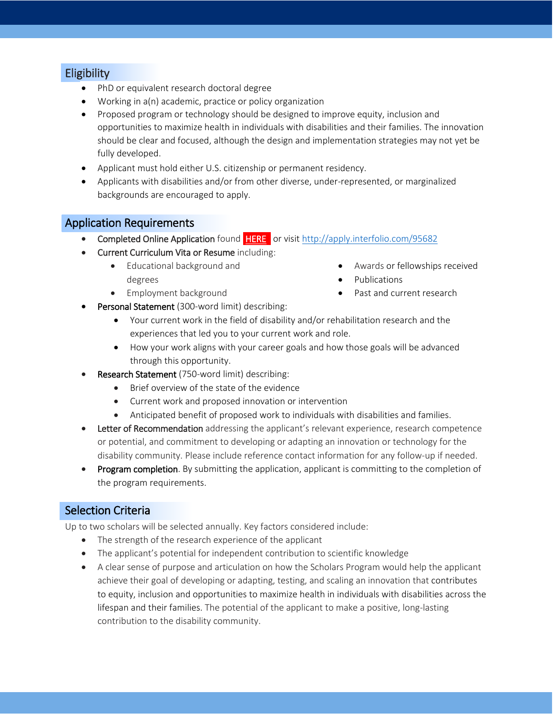#### **Eligibility**

- PhD or equivalent research doctoral degree
- Working in a(n) academic, practice or policy organization
- Proposed program or technology should be designed to improve equity, inclusion and opportunities to maximize health in individuals with disabilities and their families. The innovation should be clear and focused, although the design and implementation strategies may not yet be fully developed.
- Applicant must hold either U.S. citizenship or permanent residency.
- Applicants with disabilities and/or from other diverse, under-represented, or marginalized backgrounds are encouraged to apply.

#### Application Requirements

- **Completed Online Application** found **HERE** or visit<http://apply.interfolio.com/95682>
- Current Curriculum Vita or Resume including:
	- Educational background and degrees
	- Employment background
- Awards or fellowships received
- Publications
- Past and current research
- Personal Statement (300-word limit) describing:
	- Your current work in the field of disability and/or rehabilitation research and the experiences that led you to your current work and role.
	- How your work aligns with your career goals and how those goals will be advanced through this opportunity.
- Research Statement (750-word limit) describing:
	- Brief overview of the state of the evidence
	- Current work and proposed innovation or intervention
	- Anticipated benefit of proposed work to individuals with disabilities and families.
- Letter of Recommendation addressing the applicant's relevant experience, research competence or potential, and commitment to developing or adapting an innovation or technology for the disability community. Please include reference contact information for any follow-up if needed.
- Program completion. By submitting the application, applicant is committing to the completion of the program requirements.

#### Selection Criteria

Up to two scholars will be selected annually. Key factors considered include:

- The strength of the research experience of the applicant
- The applicant's potential for independent contribution to scientific knowledge
- A clear sense of purpose and articulation on how the Scholars Program would help the applicant achieve their goal of developing or adapting, testing, and scaling an innovation that contributes to equity, inclusion and opportunities to maximize health in individuals with disabilities across the lifespan and their families. The potential of the applicant to make a positive, long-lasting contribution to the disability community.